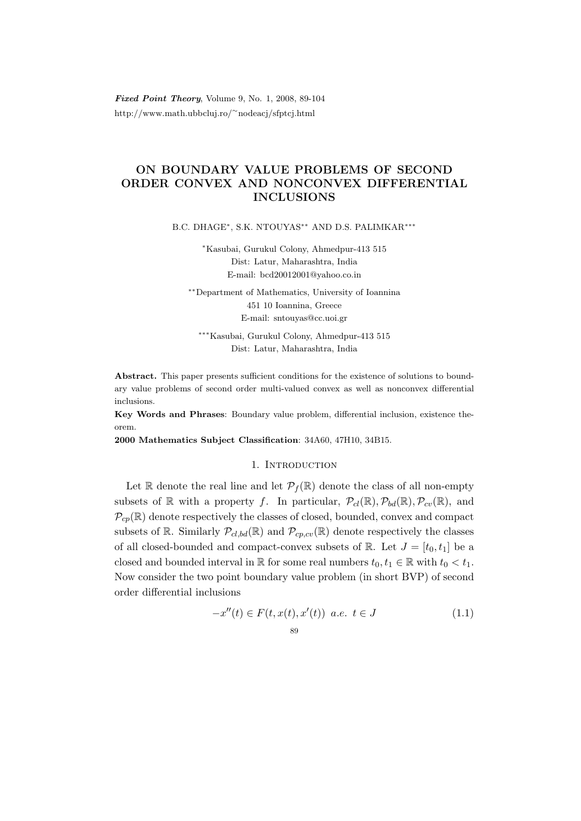Fixed Point Theory, Volume 9, No. 1, 2008, 89-104 http://www.math.ubbcluj.ro/<sup>∼</sup>nodeacj/sfptcj.html

# ON BOUNDARY VALUE PROBLEMS OF SECOND ORDER CONVEX AND NONCONVEX DIFFERENTIAL INCLUSIONS

B.C. DHAGE<sup>\*</sup>, S.K. NTOUYAS<sup>\*\*</sup> AND D.S. PALIMKAR<sup>\*\*\*</sup>

<sup>∗</sup>Kasubai, Gurukul Colony, Ahmedpur-413 515 Dist: Latur, Maharashtra, India E-mail: bcd20012001@yahoo.co.in

∗∗Department of Mathematics, University of Ioannina 451 10 Ioannina, Greece E-mail: sntouyas@cc.uoi.gr

∗∗∗Kasubai, Gurukul Colony, Ahmedpur-413 515 Dist: Latur, Maharashtra, India

Abstract. This paper presents sufficient conditions for the existence of solutions to boundary value problems of second order multi-valued convex as well as nonconvex differential inclusions.

Key Words and Phrases: Boundary value problem, differential inclusion, existence theorem.

2000 Mathematics Subject Classification: 34A60, 47H10, 34B15.

### 1. Introduction

Let R denote the real line and let  $\mathcal{P}_f(\mathbb{R})$  denote the class of all non-empty subsets of R with a property f. In particular,  $\mathcal{P}_{cl}(\mathbb{R}), \mathcal{P}_{bd}(\mathbb{R}), \mathcal{P}_{cv}(\mathbb{R})$ , and  $\mathcal{P}_{cp}(\mathbb{R})$  denote respectively the classes of closed, bounded, convex and compact subsets of R. Similarly  $\mathcal{P}_{cl,bd}(\mathbb{R})$  and  $\mathcal{P}_{cp,cv}(\mathbb{R})$  denote respectively the classes of all closed-bounded and compact-convex subsets of  $\mathbb{R}$ . Let  $J = [t_0, t_1]$  be a closed and bounded interval in  $\mathbb R$  for some real numbers  $t_0, t_1 \in \mathbb R$  with  $t_0 < t_1$ . Now consider the two point boundary value problem (in short BVP) of second order differential inclusions

$$
-x''(t) \in F(t, x(t), x'(t)) \ a.e. \ t \in J
$$
\n<sup>(1.1)</sup>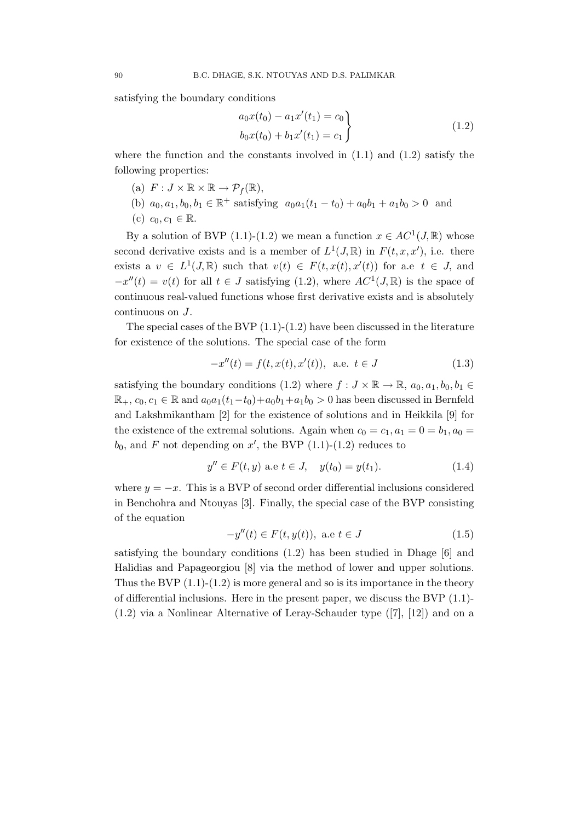satisfying the boundary conditions

$$
a_0x(t_0) - a_1x'(t_1) = c_0
$$
  

$$
b_0x(t_0) + b_1x'(t_1) = c_1
$$
 (1.2)

where the function and the constants involved in  $(1.1)$  and  $(1.2)$  satisfy the following properties:

- (a)  $F: J \times \mathbb{R} \times \mathbb{R} \to \mathcal{P}_f(\mathbb{R}),$
- (b)  $a_0, a_1, b_0, b_1 \in \mathbb{R}^+$  satisfying  $a_0a_1(t_1-t_0) + a_0b_1 + a_1b_0 > 0$  and
- (c)  $c_0, c_1 \in \mathbb{R}$ .

By a solution of BVP (1.1)-(1.2) we mean a function  $x \in AC^1(J, \mathbb{R})$  whose second derivative exists and is a member of  $L^1(J, \mathbb{R})$  in  $F(t, x, x')$ , i.e. there exists a  $v \in L^1(J,\mathbb{R})$  such that  $v(t) \in F(t,x(t),x'(t))$  for a.e  $t \in J$ , and  $-x''(t) = v(t)$  for all  $t \in J$  satisfying (1.2), where  $AC^1(J, \mathbb{R})$  is the space of continuous real-valued functions whose first derivative exists and is absolutely continuous on J.

The special cases of the BVP  $(1.1)-(1.2)$  have been discussed in the literature for existence of the solutions. The special case of the form

$$
-x''(t) = f(t, x(t), x'(t)), \text{ a.e. } t \in J
$$
 (1.3)

satisfying the boundary conditions (1.2) where  $f : J \times \mathbb{R} \to \mathbb{R}$ ,  $a_0, a_1, b_0, b_1 \in$  $\mathbb{R}_+$ ,  $c_0, c_1 \in \mathbb{R}$  and  $a_0a_1(t_1-t_0)+a_0b_1+a_1b_0 > 0$  has been discussed in Bernfeld and Lakshmikantham [2] for the existence of solutions and in Heikkila [9] for the existence of the extremal solutions. Again when  $c_0 = c_1, a_1 = 0 = b_1, a_0 = 0$  $b_0$ , and F not depending on x', the BVP (1.1)-(1.2) reduces to

$$
y'' \in F(t, y) \text{ a.e } t \in J, \quad y(t_0) = y(t_1). \tag{1.4}
$$

where  $y = -x$ . This is a BVP of second order differential inclusions considered in Benchohra and Ntouyas [3]. Finally, the special case of the BVP consisting of the equation

$$
-y''(t) \in F(t, y(t)), \text{ a.e } t \in J
$$
\n
$$
(1.5)
$$

satisfying the boundary conditions (1.2) has been studied in Dhage [6] and Halidias and Papageorgiou [8] via the method of lower and upper solutions. Thus the BVP  $(1.1)-(1.2)$  is more general and so is its importance in the theory of differential inclusions. Here in the present paper, we discuss the BVP (1.1)- (1.2) via a Nonlinear Alternative of Leray-Schauder type ([7], [12]) and on a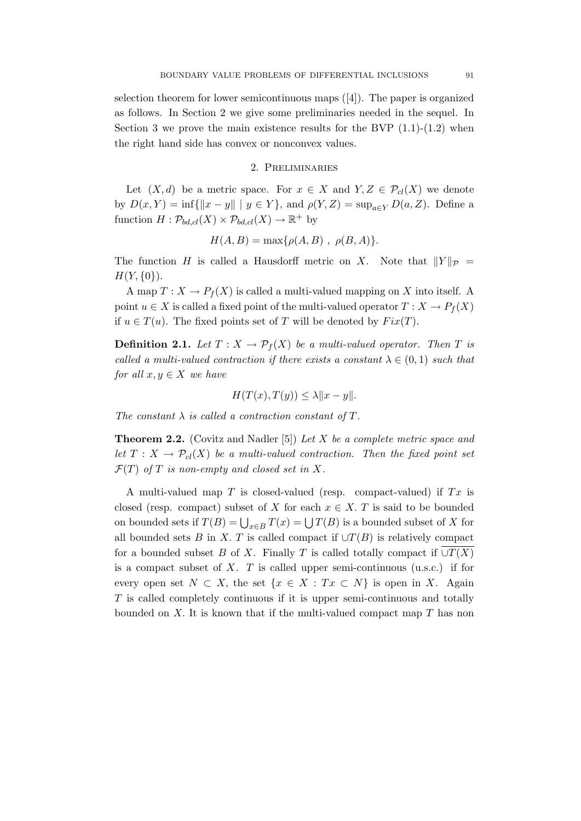selection theorem for lower semicontinuous maps  $([4])$ . The paper is organized as follows. In Section 2 we give some preliminaries needed in the sequel. In Section 3 we prove the main existence results for the BVP  $(1.1)-(1.2)$  when the right hand side has convex or nonconvex values.

## 2. Preliminaries

Let  $(X, d)$  be a metric space. For  $x \in X$  and  $Y, Z \in \mathcal{P}_{cl}(X)$  we denote by  $D(x, Y) = \inf \{ ||x - y|| \mid y \in Y \}$ , and  $\rho(Y, Z) = \sup_{a \in Y} D(a, Z)$ . Define a function  $H: \mathcal{P}_{bd,cl}(X) \times \mathcal{P}_{bd,cl}(X) \to \mathbb{R}^+$  by

$$
H(A, B) = \max\{\rho(A, B), \rho(B, A)\}.
$$

The function H is called a Hausdorff metric on X. Note that  $||Y||_{\mathcal{P}} =$  $H(Y, \{0\})$ .

A map  $T: X \to P_f(X)$  is called a multi-valued mapping on X into itself. A point  $u \in X$  is called a fixed point of the multi-valued operator  $T : X \to P_f(X)$ if  $u \in T(u)$ . The fixed points set of T will be denoted by  $Fix(T)$ .

**Definition 2.1.** Let  $T : X \to \mathcal{P}_f(X)$  be a multi-valued operator. Then T is called a multi-valued contraction if there exists a constant  $\lambda \in (0,1)$  such that for all  $x, y \in X$  we have

$$
H(T(x), T(y)) \le \lambda \|x - y\|.
$$

The constant  $\lambda$  is called a contraction constant of T.

**Theorem 2.2.** (Covitz and Nadler [5]) Let X be a complete metric space and let  $T : X \to \mathcal{P}_c(X)$  be a multi-valued contraction. Then the fixed point set  $\mathcal{F}(T)$  of T is non-empty and closed set in X.

A multi-valued map  $T$  is closed-valued (resp. compact-valued) if  $Tx$  is closed (resp. compact) subset of X for each  $x \in X$ . T is said to be bounded on bounded sets if  $T(B) = \bigcup_{x \in B} T(x) = \bigcup T(B)$  is a bounded subset of X for all bounded sets B in X. T is called compact if  $\cup T(B)$  is relatively compact for a bounded subset B of X. Finally T is called totally compact if  $\cup T(X)$ is a compact subset of  $X$ . T is called upper semi-continuous (u.s.c.) if for every open set  $N \subset X$ , the set  $\{x \in X : Tx \subset N\}$  is open in X. Again T is called completely continuous if it is upper semi-continuous and totally bounded on X. It is known that if the multi-valued compact map  $T$  has non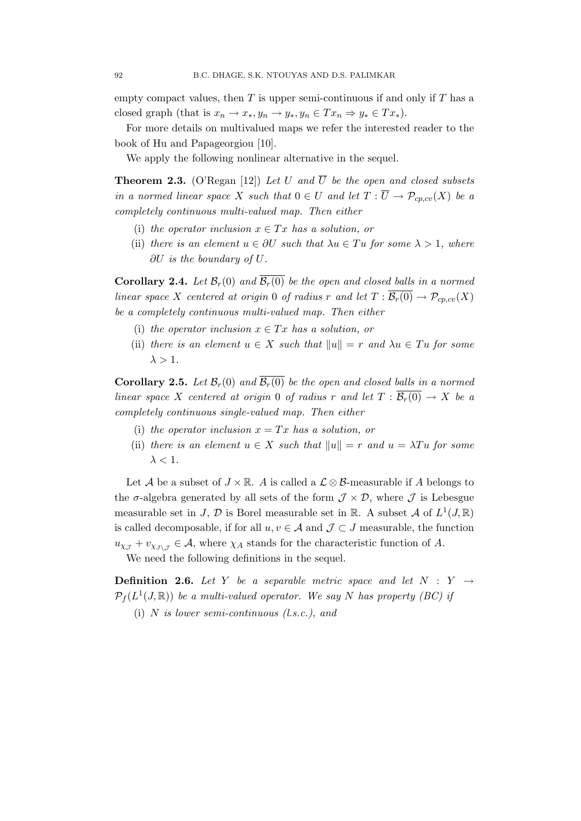empty compact values, then  $T$  is upper semi-continuous if and only if  $T$  has a closed graph (that is  $x_n \to x_*, y_n \to y_*, y_n \in Tx_n \Rightarrow y_* \in Tx_*$ ).

For more details on multivalued maps we refer the interested reader to the book of Hu and Papageorgiou [10].

We apply the following nonlinear alternative in the sequel.

**Theorem 2.3.** (O'Regan [12]) Let U and  $\overline{U}$  be the open and closed subsets in a normed linear space X such that  $0 \in U$  and let  $T : \overline{U} \to \mathcal{P}_{cp, cv}(X)$  be a completely continuous multi-valued map. Then either

- (i) the operator inclusion  $x \in Tx$  has a solution, or
- (ii) there is an element  $u \in \partial U$  such that  $\lambda u \in Tu$  for some  $\lambda > 1$ , where ∂U is the boundary of U.

**Corollary 2.4.** Let  $\mathcal{B}_r(0)$  and  $\overline{\mathcal{B}_r(0)}$  be the open and closed balls in a normed linear space X centered at origin 0 of radius r and let  $T : \overline{\mathcal{B}_r(0)} \to \mathcal{P}_{cp, cv}(X)$ be a completely continuous multi-valued map. Then either

- (i) the operator inclusion  $x \in Tx$  has a solution, or
- (ii) there is an element  $u \in X$  such that  $||u|| = r$  and  $\lambda u \in Tu$  for some  $\lambda > 1$ .

**Corollary 2.5.** Let  $\mathcal{B}_r(0)$  and  $\overline{\mathcal{B}_r(0)}$  be the open and closed balls in a normed linear space X centered at origin 0 of radius r and let  $T : \overline{\mathcal{B}_r(0)} \to X$  be a completely continuous single-valued map. Then either

- (i) the operator inclusion  $x = Tx$  has a solution, or
- (ii) there is an element  $u \in X$  such that  $||u|| = r$  and  $u = \lambda Tu$  for some  $\lambda < 1$ .

Let A be a subset of  $J \times \mathbb{R}$ . A is called a  $\mathcal{L} \otimes \mathcal{B}$ -measurable if A belongs to the  $\sigma$ -algebra generated by all sets of the form  $\mathcal{J} \times \mathcal{D}$ , where  $\mathcal{J}$  is Lebesgue measurable set in J,  $\mathcal{D}$  is Borel measurable set in  $\mathbb{R}$ . A subset  $\mathcal{A}$  of  $L^1(J, \mathbb{R})$ is called decomposable, if for all  $u, v \in A$  and  $\mathcal{J} \subset J$  measurable, the function  $u_{\chi_{\mathcal{J}}} + v_{\chi_{\mathcal{J}\chi_{\mathcal{J}}}} \in \mathcal{A}$ , where  $\chi_A$  stands for the characteristic function of A.

We need the following definitions in the sequel.

**Definition 2.6.** Let Y be a separable metric space and let  $N : Y \rightarrow$  $\mathcal{P}_f(L^1(J,\mathbb{R}))$  be a multi-valued operator. We say N has property (BC) if

(i) N is lower semi-continuous (l.s.c.), and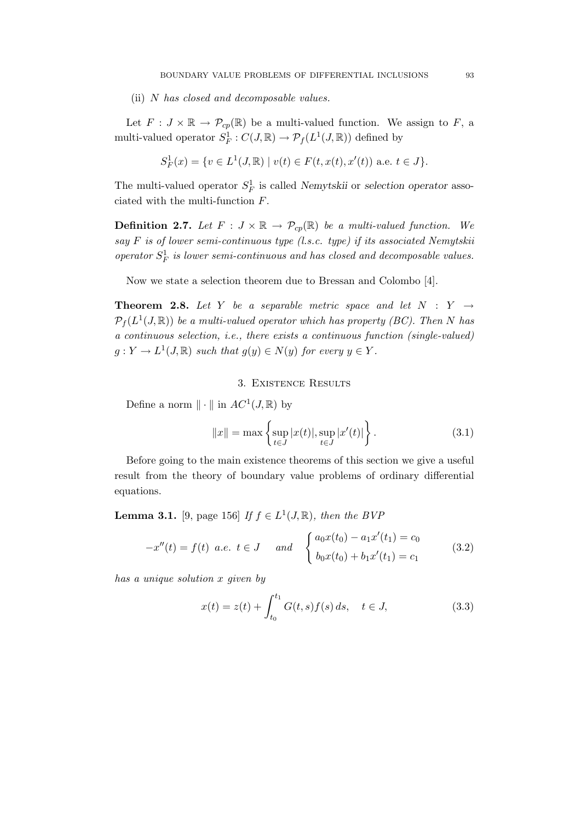(ii) N has closed and decomposable values.

Let  $F: J \times \mathbb{R} \to \mathcal{P}_{cp}(\mathbb{R})$  be a multi-valued function. We assign to F, a multi-valued operator  $S_F^1$ :  $C(J, \mathbb{R}) \to \mathcal{P}_f(L^1(J, \mathbb{R}))$  defined by

$$
S_F^1(x) = \{ v \in L^1(J, \mathbb{R}) \mid v(t) \in F(t, x(t), x'(t)) \text{ a.e. } t \in J \}.
$$

The multi-valued operator  $S_F^1$  is called Nemytskii or selection operator associated with the multi-function F.

**Definition 2.7.** Let  $F : J \times \mathbb{R} \to \mathcal{P}_{cp}(\mathbb{R})$  be a multi-valued function. We say F is of lower semi-continuous type (l.s.c. type) if its associated Nemytskii operator  $S_F^1$  is lower semi-continuous and has closed and decomposable values.

Now we state a selection theorem due to Bressan and Colombo [4].

**Theorem 2.8.** Let Y be a separable metric space and let  $N : Y \rightarrow$  $\mathcal{P}_f(L^1(J,\mathbb{R}))$  be a multi-valued operator which has property (BC). Then N has a continuous selection, i.e., there exists a continuous function (single-valued)  $g: Y \to L^1(J, \mathbb{R})$  such that  $g(y) \in N(y)$  for every  $y \in Y$ .

## 3. Existence Results

Define a norm  $\|\cdot\|$  in  $AC^1(J, \mathbb{R})$  by

$$
||x|| = \max \left\{ \sup_{t \in J} |x(t)|, \sup_{t \in J} |x'(t)| \right\}.
$$
 (3.1)

Before going to the main existence theorems of this section we give a useful result from the theory of boundary value problems of ordinary differential equations.

**Lemma 3.1.** [9, page 156] If  $f \in L^1(J, \mathbb{R})$ , then the BVF

$$
-x''(t) = f(t) \ a.e. \ t \in J \quad and \quad\n\begin{cases}\na_0 x(t_0) - a_1 x'(t_1) = c_0 \\
b_0 x(t_0) + b_1 x'(t_1) = c_1\n\end{cases}\n\tag{3.2}
$$

has a unique solution x given by

$$
x(t) = z(t) + \int_{t_0}^{t_1} G(t, s) f(s) ds, \quad t \in J,
$$
\n(3.3)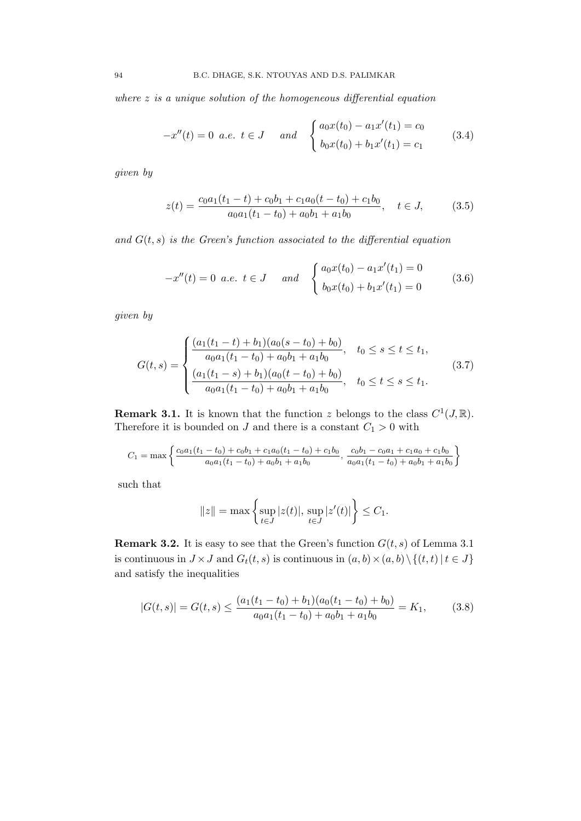where  $z$  is a unique solution of the homogeneous differential equation

$$
-x''(t) = 0 \text{ a.e. } t \in J \quad \text{and} \quad \begin{cases} a_0 x(t_0) - a_1 x'(t_1) = c_0 \\ b_0 x(t_0) + b_1 x'(t_1) = c_1 \end{cases} \tag{3.4}
$$

given by

$$
z(t) = \frac{c_0 a_1 (t_1 - t) + c_0 b_1 + c_1 a_0 (t - t_0) + c_1 b_0}{a_0 a_1 (t_1 - t_0) + a_0 b_1 + a_1 b_0}, \quad t \in J,
$$
 (3.5)

and  $G(t, s)$  is the Green's function associated to the differential equation

$$
-x''(t) = 0 \ a.e. \ t \in J \quad and \quad \begin{cases} a_0 x(t_0) - a_1 x'(t_1) = 0 \\ b_0 x(t_0) + b_1 x'(t_1) = 0 \end{cases} \tag{3.6}
$$

given by

$$
G(t,s) = \begin{cases} \frac{(a_1(t_1 - t) + b_1)(a_0(s - t_0) + b_0)}{a_0 a_1(t_1 - t_0) + a_0 b_1 + a_1 b_0}, & t_0 \le s \le t \le t_1, \\ \frac{(a_1(t_1 - s) + b_1)(a_0(t - t_0) + b_0)}{a_0 a_1(t_1 - t_0) + a_0 b_1 + a_1 b_0}, & t_0 \le t \le s \le t_1. \end{cases}
$$
(3.7)

**Remark 3.1.** It is known that the function z belongs to the class  $C^1(J, \mathbb{R})$ . Therefore it is bounded on  $J$  and there is a constant  $C_1 > 0$  with

$$
C_1 = \max \left\{ \frac{c_0 a_1 (t_1 - t_0) + c_0 b_1 + c_1 a_0 (t_1 - t_0) + c_1 b_0}{a_0 a_1 (t_1 - t_0) + a_0 b_1 + a_1 b_0}, \frac{c_0 b_1 - c_0 a_1 + c_1 a_0 + c_1 b_0}{a_0 a_1 (t_1 - t_0) + a_0 b_1 + a_1 b_0} \right\}
$$

such that

$$
||z|| = \max \left\{ \sup_{t \in J} |z(t)|, \sup_{t \in J} |z'(t)| \right\} \le C_1.
$$

**Remark 3.2.** It is easy to see that the Green's function  $G(t, s)$  of Lemma 3.1 is continuous in  $J \times J$  and  $G_t(t, s)$  is continuous in  $(a, b) \times (a, b) \setminus \{(t, t) | t \in J\}$ and satisfy the inequalities

$$
|G(t,s)| = G(t,s) \le \frac{(a_1(t_1 - t_0) + b_1)(a_0(t_1 - t_0) + b_0)}{a_0 a_1(t_1 - t_0) + a_0 b_1 + a_1 b_0} = K_1,
$$
 (3.8)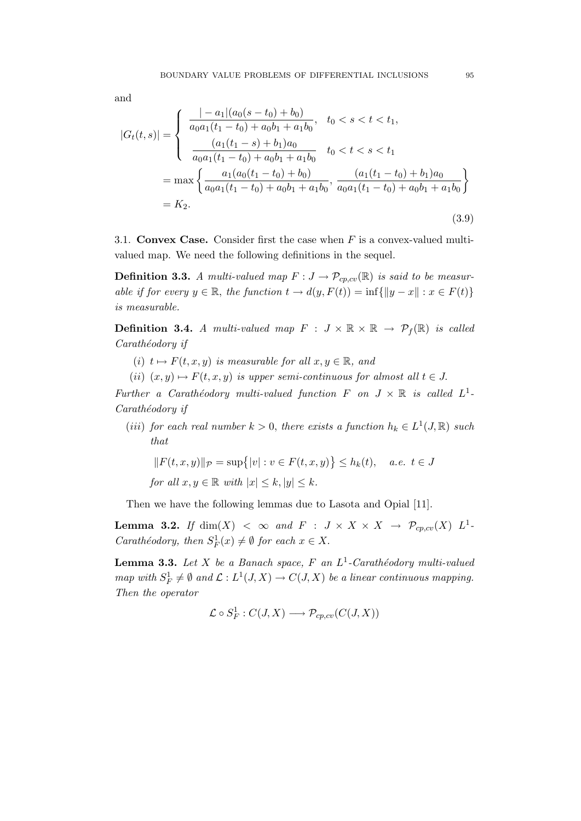and

$$
|G_t(t,s)| = \begin{cases} \frac{|-a_1|(a_0(s-t_0)+b_0)}{a_0a_1(t_1-t_0)+a_0b_1+a_1b_0}, & t_0 < s < t < t_1, \\ \frac{(a_1(t_1-s)+b_1)a_0}{a_0a_1(t_1-t_0)+a_0b_1+a_1b_0} & t_0 < t < s < t_1 \end{cases}
$$
  
= max 
$$
\begin{cases} \frac{a_1(a_0(t_1-t_0)+b_0)}{a_0a_1(t_1-t_0)+a_0b_1+a_1b_0}, & \frac{(a_1(t_1-t_0)+b_1)a_0}{a_0a_1(t_1-t_0)+a_0b_1+a_1b_0} \end{cases}
$$
  
=  $K_2$ . (3.9)

3.1. Convex Case. Consider first the case when  $F$  is a convex-valued multivalued map. We need the following definitions in the sequel.

**Definition 3.3.** A multi-valued map  $F: J \to \mathcal{P}_{cp, cv}(\mathbb{R})$  is said to be measurable if for every  $y \in \mathbb{R}$ , the function  $t \to d(y, F(t)) = \inf \{ ||y - x|| : x \in F(t) \}$ is measurable.

**Definition 3.4.** A multi-valued map  $F : J \times \mathbb{R} \times \mathbb{R} \rightarrow \mathcal{P}_f(\mathbb{R})$  is called Carathéodory if

- (i)  $t \mapsto F(t, x, y)$  is measurable for all  $x, y \in \mathbb{R}$ , and
- (ii)  $(x, y) \mapsto F(t, x, y)$  is upper semi-continuous for almost all  $t \in J$ .

Further a Carathéodory multi-valued function F on  $J \times \mathbb{R}$  is called  $L^1$ . Carathéodory if

(iii) for each real number  $k > 0$ , there exists a function  $h_k \in L^1(J, \mathbb{R})$  such that

$$
||F(t, x, y)||_{\mathcal{P}} = \sup\{|v| : v \in F(t, x, y)\} \le h_k(t), \quad a.e. \ t \in J
$$

for all  $x, y \in \mathbb{R}$  with  $|x| \leq k$ ,  $|y| \leq k$ .

Then we have the following lemmas due to Lasota and Opial [11].

**Lemma 3.2.** If  $dim(X) < \infty$  and  $F : J \times X \times X \rightarrow \mathcal{P}_{cp, cv}(X) L^1$ . *Carathéodory, then*  $S_F^1(x) \neq \emptyset$  *for each*  $x \in X$ .

**Lemma 3.3.** Let X be a Banach space, F an  $L^1$ -Carathéodory multi-valued map with  $S_F^1 \neq \emptyset$  and  $\mathcal{L}: L^1(J, X) \to C(J, X)$  be a linear continuous mapping. Then the operator

$$
\mathcal{L} \circ S_F^1 : C(J, X) \longrightarrow \mathcal{P}_{cp, cv}(C(J, X))
$$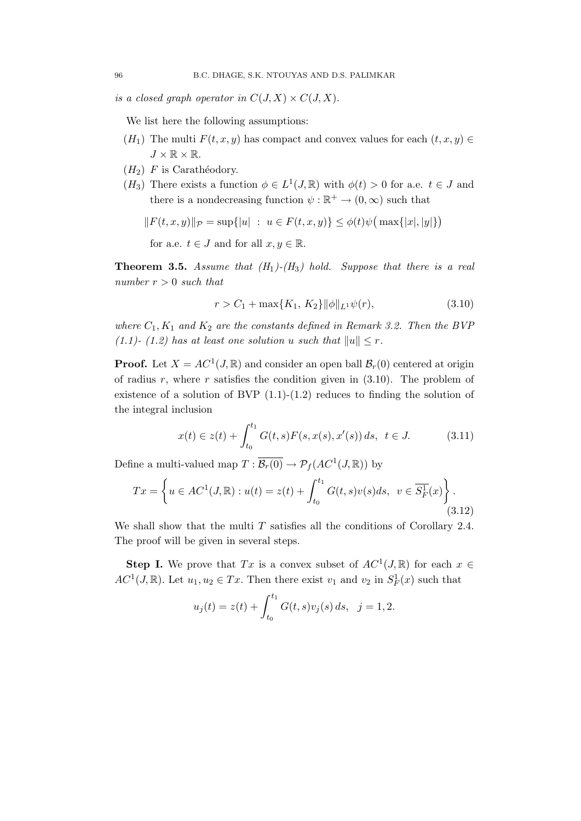is a closed graph operator in  $C(J, X) \times C(J, X)$ .

We list here the following assumptions:

- $(H_1)$  The multi  $F(t, x, y)$  has compact and convex values for each  $(t, x, y) \in$  $J \times \mathbb{R} \times \mathbb{R}$ .
- $(H_2)$  F is Carathéodory.
- (H<sub>3</sub>) There exists a function  $\phi \in L^1(J, \mathbb{R})$  with  $\phi(t) > 0$  for a.e.  $t \in J$  and there is a nondecreasing function  $\psi : \mathbb{R}^+ \to (0, \infty)$  such that

$$
||F(t, x, y)||_{\mathcal{P}} = \sup\{|u| : u \in F(t, x, y)\} \leq \phi(t)\psi(\max\{|x|, |y|\})
$$

for a.e.  $t \in J$  and for all  $x, y \in \mathbb{R}$ .

**Theorem 3.5.** Assume that  $(H_1)$ - $(H_3)$  hold. Suppose that there is a real number  $r > 0$  such that

$$
r > C_1 + \max\{K_1, K_2\} \|\phi\|_{L^1} \psi(r), \tag{3.10}
$$

where  $C_1, K_1$  and  $K_2$  are the constants defined in Remark 3.2. Then the BVP (1.1)- (1.2) has at least one solution u such that  $||u|| \leq r$ .

**Proof.** Let  $X = AC^1(J, \mathbb{R})$  and consider an open ball  $\mathcal{B}_r(0)$  centered at origin of radius r, where r satisfies the condition given in  $(3.10)$ . The problem of existence of a solution of BVP  $(1.1)-(1.2)$  reduces to finding the solution of the integral inclusion

$$
x(t) \in z(t) + \int_{t_0}^{t_1} G(t, s) F(s, x(s), x'(s)) ds, \ t \in J.
$$
 (3.11)

Define a multi-valued map  $T: \overline{\mathcal{B}_r(0)} \to \mathcal{P}_f(AC^1(J,\mathbb{R}))$  by

$$
Tx = \left\{ u \in AC^1(J, \mathbb{R}) : u(t) = z(t) + \int_{t_0}^{t_1} G(t, s)v(s)ds, \ v \in \overline{S_F^1}(x) \right\}.
$$
\n(3.12)

We shall show that the multi  $T$  satisfies all the conditions of Corollary 2.4. The proof will be given in several steps.

**Step I.** We prove that Tx is a convex subset of  $AC^1(J, \mathbb{R})$  for each  $x \in$  $AC^1(J, \mathbb{R})$ . Let  $u_1, u_2 \in Tx$ . Then there exist  $v_1$  and  $v_2$  in  $S_F^1(x)$  such that

$$
u_j(t) = z(t) + \int_{t_0}^{t_1} G(t,s)v_j(s) ds, \ \ j = 1,2.
$$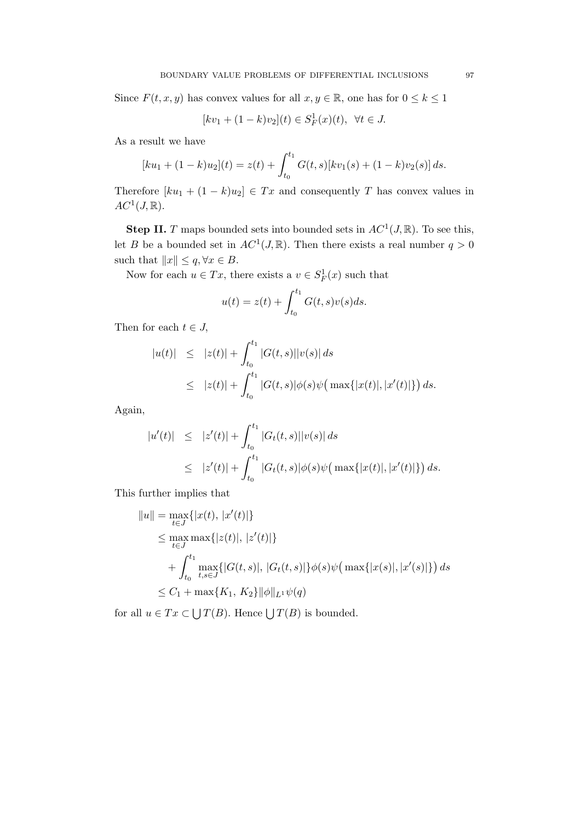Since  $F(t, x, y)$  has convex values for all  $x, y \in \mathbb{R}$ , one has for  $0 \le k \le 1$ 

$$
[kv_1 + (1 - k)v_2](t) \in S_F^1(x)(t), \ \forall t \in J.
$$

As a result we have

$$
[ku_1 + (1 - k)u_2](t) = z(t) + \int_{t_0}^{t_1} G(t, s)[kv_1(s) + (1 - k)v_2(s)] ds.
$$

Therefore  $[ku_1 + (1 - k)u_2] \in Tx$  and consequently T has convex values in  $AC^1(J, \mathbb{R})$ .

**Step II.** T maps bounded sets into bounded sets in  $AC^1(J, \mathbb{R})$ . To see this, let B be a bounded set in  $AC^1(J, \mathbb{R})$ . Then there exists a real number  $q > 0$ such that  $||x|| \leq q, \forall x \in B$ .

Now for each  $u \in Tx$ , there exists a  $v \in S_F^1(x)$  such that

$$
u(t) = z(t) + \int_{t_0}^{t_1} G(t, s)v(s)ds.
$$

Then for each  $t \in J$ ,

$$
|u(t)| \leq |z(t)| + \int_{t_0}^{t_1} |G(t,s)||v(s)| ds
$$
  
 
$$
\leq |z(t)| + \int_{t_0}^{t_1} |G(t,s)|\phi(s)\psi\big(\max\{|x(t)|, |x'(t)|\}\big) ds.
$$

Again,

$$
|u'(t)| \leq |z'(t)| + \int_{t_0}^{t_1} |G_t(t,s)||v(s)| ds
$$
  
\n
$$
\leq |z'(t)| + \int_{t_0}^{t_1} |G_t(t,s)|\phi(s)\psi\big(\max\{|x(t)|, |x'(t)|\}\big) ds.
$$

This further implies that

$$
||u|| = \max_{t \in J} \{ |x(t), |x'(t)| \}
$$
  
\n
$$
\leq \max_{t \in J} \max \{ |z(t)|, |z'(t)| \}
$$
  
\n
$$
+ \int_{t_0}^{t_1} \max_{t, s \in J} \{ |G(t, s)|, |G_t(t, s)| \} \phi(s) \psi \big( \max \{ |x(s)|, |x'(s)| \} \big) ds
$$
  
\n
$$
\leq C_1 + \max \{ K_1, K_2 \} ||\phi||_{L^1} \psi(q)
$$

for all  $u \in Tx \subset \bigcup T(B)$ . Hence  $\bigcup T(B)$  is bounded.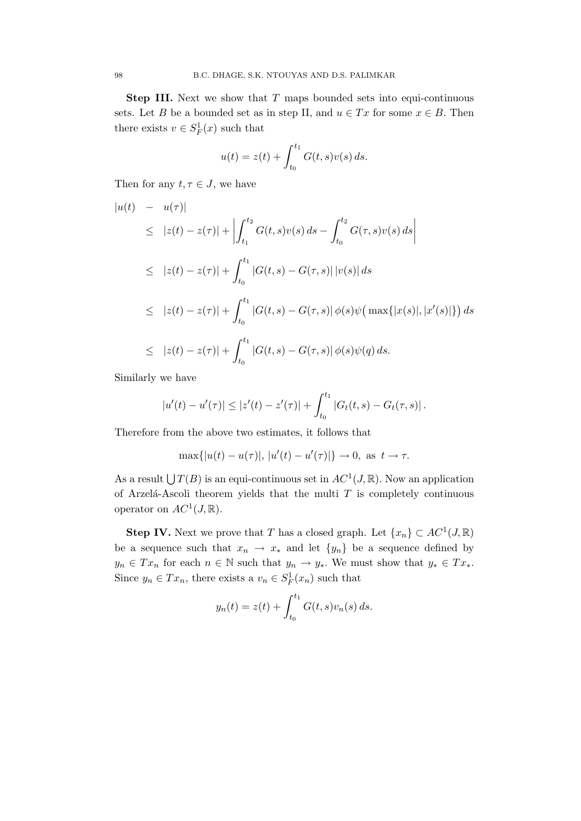**Step III.** Next we show that  $T$  maps bounded sets into equi-continuous sets. Let B be a bounded set as in step II, and  $u \in Tx$  for some  $x \in B$ . Then there exists  $v \in S_F^1(x)$  such that

$$
u(t) = z(t) + \int_{t_0}^{t_1} G(t, s)v(s) ds.
$$

Then for any  $t, \tau \in J$ , we have

$$
\begin{aligned}\n|u(t) & - u(\tau)| \\
&\leq |z(t) - z(\tau)| + \left| \int_{t_1}^{t_2} G(t, s)v(s) \, ds - \int_{t_0}^{t_2} G(\tau, s)v(s) \, ds \right| \\
&\leq |z(t) - z(\tau)| + \int_{t_0}^{t_1} |G(t, s) - G(\tau, s)| \, |v(s)| \, ds \\
&\leq |z(t) - z(\tau)| + \int_{t_0}^{t_1} |G(t, s) - G(\tau, s)| \, \phi(s)\psi\big(\max\{|x(s)|, |x'(s)|\}\big) \, ds \\
&\leq |z(t) - z(\tau)| + \int_{t_0}^{t_1} |G(t, s) - G(\tau, s)| \, \phi(s)\psi(q) \, ds.\n\end{aligned}
$$

Similarly we have

$$
|u'(t) - u'(\tau)| \le |z'(t) - z'(\tau)| + \int_{t_0}^{t_1} |G_t(t, s) - G_t(\tau, s)|.
$$

Therefore from the above two estimates, it follows that

$$
\max\{|u(t) - u(\tau)|, |u'(t) - u'(\tau)|\} \to 0, \text{ as } t \to \tau.
$$

As a result  $\bigcup T(B)$  is an equi-continuous set in  $AC^1(J, \mathbb{R})$ . Now an application of Arzelá-Ascoli theorem yields that the multi  $T$  is completely continuous operator on  $AC^1(J, \mathbb{R})$ .

**Step IV.** Next we prove that T has a closed graph. Let  $\{x_n\} \subset AC^1(J, \mathbb{R})$ be a sequence such that  $x_n \to x_*$  and let  $\{y_n\}$  be a sequence defined by  $y_n \in Tx_n$  for each  $n \in \mathbb{N}$  such that  $y_n \to y_*$ . We must show that  $y_* \in Tx_*$ . Since  $y_n \in Tx_n$ , there exists a  $v_n \in S_F^1(x_n)$  such that

$$
y_n(t) = z(t) + \int_{t_0}^{t_1} G(t, s) v_n(s) \, ds.
$$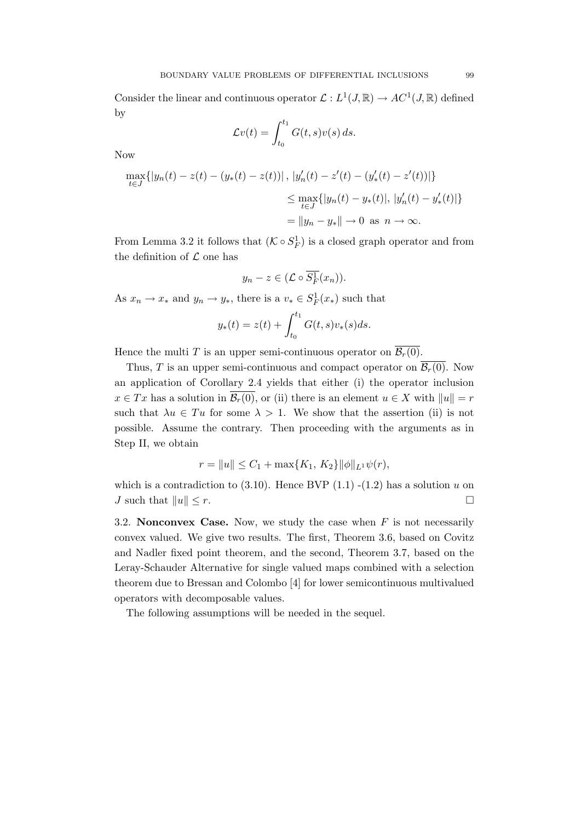Consider the linear and continuous operator  $\mathcal{L}: L^1(J, \mathbb{R}) \to AC^1(J, \mathbb{R})$  defined by

$$
\mathcal{L}v(t) = \int_{t_0}^{t_1} G(t,s)v(s) \, ds.
$$

Now

$$
\max_{t \in J} \{|y_n(t) - z(t) - (y_*(t) - z(t))|, |y'_n(t) - z'(t) - (y'_*(t) - z'(t))|\}
$$
  
\n
$$
\leq \max_{t \in J} \{|y_n(t) - y_*(t)|, |y'_n(t) - y'_*(t)|\}
$$
  
\n
$$
= ||y_n - y_*|| \to 0 \text{ as } n \to \infty.
$$

From Lemma 3.2 it follows that  $(K \circ S_F^1)$  is a closed graph operator and from the definition of  $\mathcal L$  one has

$$
y_n - z \in (\mathcal{L} \circ \overline{S_F^1}(x_n)).
$$

As  $x_n \to x_*$  and  $y_n \to y_*$ , there is a  $v_* \in S_F^1(x_*)$  such that

$$
y_*(t) = z(t) + \int_{t_0}^{t_1} G(t,s)v_*(s)ds.
$$

Hence the multi T is an upper semi-continuous operator on  $\overline{\mathcal{B}_r(0)}$ .

Thus, T is an upper semi-continuous and compact operator on  $\overline{\mathcal{B}_r(0)}$ . Now an application of Corollary 2.4 yields that either (i) the operator inclusion  $x \in Tx$  has a solution in  $\overline{\mathcal{B}_r(0)}$ , or (ii) there is an element  $u \in X$  with  $||u|| = r$ such that  $\lambda u \in Tu$  for some  $\lambda > 1$ . We show that the assertion (ii) is not possible. Assume the contrary. Then proceeding with the arguments as in Step II, we obtain

$$
r = ||u|| \le C_1 + \max\{K_1, K_2\} ||\phi||_{L^1} \psi(r),
$$

which is a contradiction to  $(3.10)$ . Hence BVP  $(1.1)$  - $(1.2)$  has a solution u on J such that  $||u|| \leq r$ .

3.2. Nonconvex Case. Now, we study the case when  $F$  is not necessarily convex valued. We give two results. The first, Theorem 3.6, based on Covitz and Nadler fixed point theorem, and the second, Theorem 3.7, based on the Leray-Schauder Alternative for single valued maps combined with a selection theorem due to Bressan and Colombo [4] for lower semicontinuous multivalued operators with decomposable values.

The following assumptions will be needed in the sequel.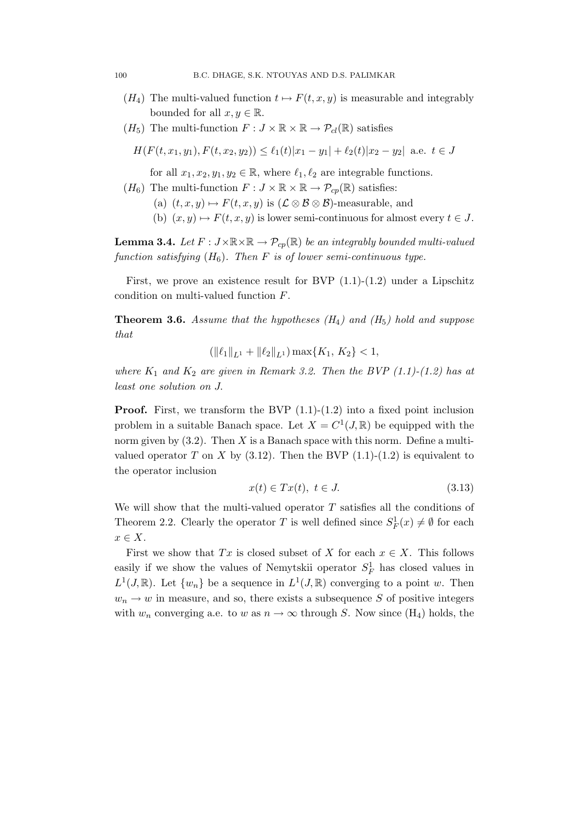- $(H_4)$  The multi-valued function  $t \mapsto F(t, x, y)$  is measurable and integrably bounded for all  $x, y \in \mathbb{R}$ .
- $(H_5)$  The multi-function  $F: J \times \mathbb{R} \times \mathbb{R} \to \mathcal{P}_{cl}(\mathbb{R})$  satisfies

$$
H(F(t, x_1, y_1), F(t, x_2, y_2)) \le \ell_1(t)|x_1 - y_1| + \ell_2(t)|x_2 - y_2| \text{ a.e. } t \in J
$$

for all  $x_1, x_2, y_1, y_2 \in \mathbb{R}$ , where  $\ell_1, \ell_2$  are integrable functions.

- $(H_6)$  The multi-function  $F: J \times \mathbb{R} \times \mathbb{R} \to \mathcal{P}_{cp}(\mathbb{R})$  satisfies:
	- (a)  $(t, x, y) \mapsto F(t, x, y)$  is  $(\mathcal{L} \otimes \mathcal{B} \otimes \mathcal{B})$ -measurable, and
	- (b)  $(x, y) \mapsto F(t, x, y)$  is lower semi-continuous for almost every  $t \in J$ .

**Lemma 3.4.** Let  $F: J \times \mathbb{R} \times \mathbb{R} \to \mathcal{P}_{co}(\mathbb{R})$  be an integrably bounded multi-valued function satisfying  $(H_6)$ . Then F is of lower semi-continuous type.

First, we prove an existence result for BVP  $(1.1)-(1.2)$  under a Lipschitz condition on multi-valued function F.

**Theorem 3.6.** Assume that the hypotheses  $(H_4)$  and  $(H_5)$  hold and suppose that

$$
(\|\ell_1\|_{L^1} + \|\ell_2\|_{L^1}) \max\{K_1, K_2\} < 1,
$$

where  $K_1$  and  $K_2$  are given in Remark 3.2. Then the BVP  $(1.1)-(1.2)$  has at least one solution on J.

**Proof.** First, we transform the BVP  $(1.1)-(1.2)$  into a fixed point inclusion problem in a suitable Banach space. Let  $X = C^1(J, \mathbb{R})$  be equipped with the norm given by  $(3.2)$ . Then X is a Banach space with this norm. Define a multivalued operator T on X by  $(3.12)$ . Then the BVP  $(1.1)-(1.2)$  is equivalent to the operator inclusion

$$
x(t) \in Tx(t), \ t \in J. \tag{3.13}
$$

We will show that the multi-valued operator  $T$  satisfies all the conditions of Theorem 2.2. Clearly the operator T is well defined since  $S_F^1(x) \neq \emptyset$  for each  $x \in X$ .

First we show that Tx is closed subset of X for each  $x \in X$ . This follows easily if we show the values of Nemytskii operator  $S_F^1$  has closed values in  $L^1(J,\mathbb{R})$ . Let  $\{w_n\}$  be a sequence in  $L^1(J,\mathbb{R})$  converging to a point w. Then  $w_n \to w$  in measure, and so, there exists a subsequence S of positive integers with  $w_n$  converging a.e. to w as  $n \to \infty$  through S. Now since (H<sub>4</sub>) holds, the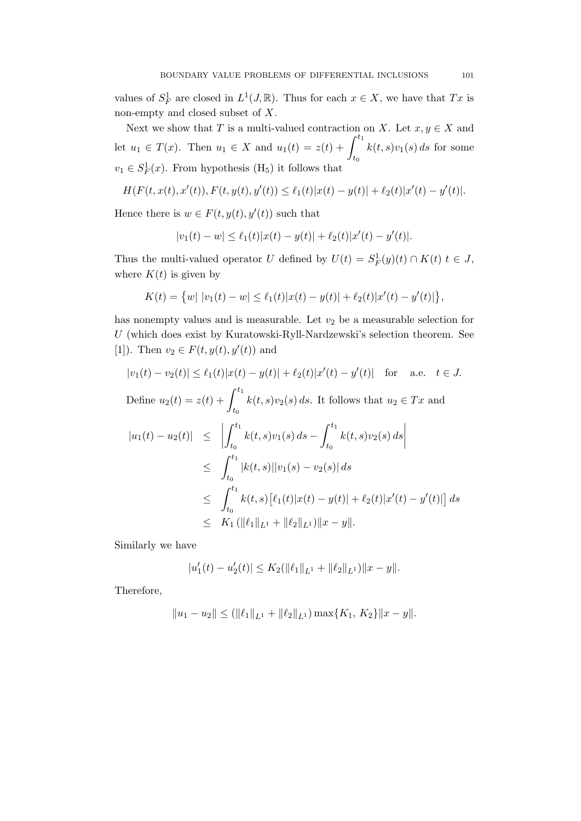values of  $S_F^1$  are closed in  $L^1(J, \mathbb{R})$ . Thus for each  $x \in X$ , we have that  $Tx$  is non-empty and closed subset of X.

Next we show that T is a multi-valued contraction on X. Let  $x, y \in X$  and let  $u_1 \in T(x)$ . Then  $u_1 \in X$  and  $u_1(t) = z(t) + \int^{t_1}$  $t_0$  $k(t, s)v_1(s) ds$  for some  $v_1 \in S_F^1(x)$ . From hypothesis (H<sub>5</sub>) it follows that

$$
H(F(t,x(t),x'(t)),F(t,y(t),y'(t))\leq \ell_1(t)|x(t)-y(t)|+\ell_2(t)|x'(t)-y'(t)|.
$$

Hence there is  $w \in F(t, y(t), y'(t))$  such that

$$
|v_1(t) - w| \le \ell_1(t)|x(t) - y(t)| + \ell_2(t)|x'(t) - y'(t)|.
$$

Thus the multi-valued operator U defined by  $U(t) = S_F^1(y)(t) \cap K(t)$   $t \in J$ , where  $K(t)$  is given by

$$
K(t) = \{w| |v_1(t) - w| \leq \ell_1(t)|x(t) - y(t)| + \ell_2(t)|x'(t) - y'(t)|\},\
$$

has nonempty values and is measurable. Let  $v_2$  be a measurable selection for  $U$  (which does exist by Kuratowski-Ryll-Nardzewski's selection theorem. See [1]). Then  $v_2 \in F(t, y(t), y'(t))$  and

$$
|v_1(t) - v_2(t)| \leq \ell_1(t)|x(t) - y(t)| + \ell_2(t)|x'(t) - y'(t)| \quad \text{for} \quad \text{a.e.} \quad t \in J.
$$
  
Define  $u_2(t) = z(t) + \int_{t_0}^{t_1} k(t, s)v_2(s) ds$ . It follows that  $u_2 \in Tx$  and  

$$
|u_1(t) - u_2(t)| \leq \left| \int_{t_0}^{t_1} k(t, s)v_1(s) ds - \int_{t_0}^{t_1} k(t, s)v_2(s) ds \right|
$$

$$
\leq \int_{t_0}^{t_1} |k(t, s)||v_1(s) - v_2(s)| ds
$$

$$
\leq \int_{t_0}^{t_1} k(t, s)[\ell_1(t)|x(t) - y(t)| + \ell_2(t)|x'(t) - y'(t)|] ds
$$

$$
\leq K_1 (\|\ell_1\|_{L^1} + \|\ell_2\|_{L^1}) \|x - y\|.
$$

Similarly we have

$$
|u'_1(t) - u'_2(t)| \le K_2(||\ell_1||_{L^1} + ||\ell_2||_{L^1})||x - y||.
$$

Therefore,

$$
||u_1 - u_2|| \le (||\ell_1||_{L^1} + ||\ell_2||_{L^1}) \max\{K_1, K_2\} ||x - y||.
$$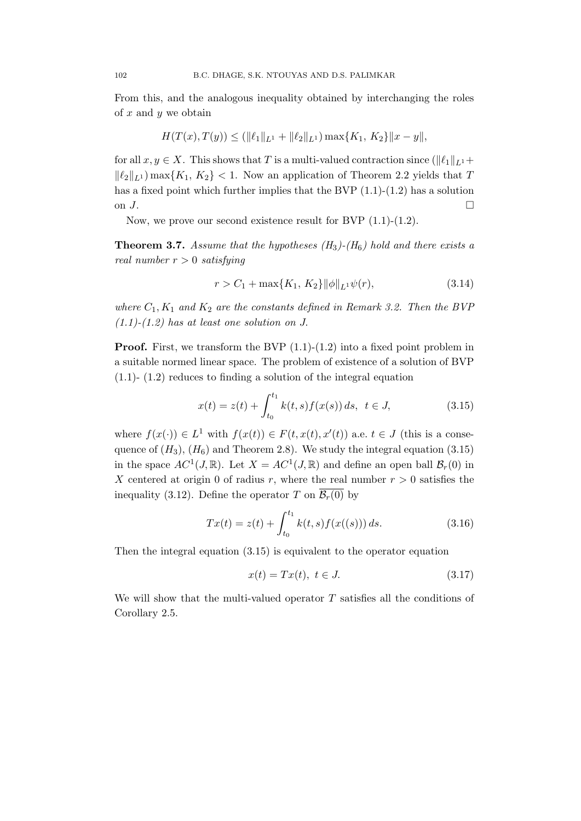From this, and the analogous inequality obtained by interchanging the roles of  $x$  and  $y$  we obtain

$$
H(T(x),T(y)) \le (\|\ell_1\|_{L^1} + \|\ell_2\|_{L^1}) \max\{K_1, K_2\} \|x - y\|,
$$

for all  $x, y \in X$ . This shows that T is a multi-valued contraction since  $(\|\ell_1\|_{L^1}+$  $\|\ell_2\|_{L^1}$  max $\{K_1, K_2\}$  < 1. Now an application of Theorem 2.2 yields that T has a fixed point which further implies that the BVP  $(1.1)-(1.2)$  has a solution on  $J$ .

Now, we prove our second existence result for BVP (1.1)-(1.2).

**Theorem 3.7.** Assume that the hypotheses  $(H_3)$ - $(H_6)$  hold and there exists a real number  $r > 0$  satisfying

$$
r > C_1 + \max\{K_1, K_2\} \|\phi\|_{L^1} \psi(r), \tag{3.14}
$$

where  $C_1, K_1$  and  $K_2$  are the constants defined in Remark 3.2. Then the BVP  $(1.1)-(1.2)$  has at least one solution on J.

**Proof.** First, we transform the BVP  $(1.1)-(1.2)$  into a fixed point problem in a suitable normed linear space. The problem of existence of a solution of BVP (1.1)- (1.2) reduces to finding a solution of the integral equation

$$
x(t) = z(t) + \int_{t_0}^{t_1} k(t, s) f(x(s)) ds, \ t \in J,
$$
\n(3.15)

where  $f(x(\cdot)) \in L^1$  with  $f(x(t)) \in F(t, x(t), x'(t))$  a.e.  $t \in J$  (this is a consequence of  $(H_3)$ ,  $(H_6)$  and Theorem 2.8). We study the integral equation (3.15) in the space  $AC^1(J, \mathbb{R})$ . Let  $X = AC^1(J, \mathbb{R})$  and define an open ball  $\mathcal{B}_r(0)$  in X centered at origin 0 of radius r, where the real number  $r > 0$  satisfies the inequality (3.12). Define the operator T on  $\overline{\mathcal{B}_{r}(0)}$  by

$$
Tx(t) = z(t) + \int_{t_0}^{t_1} k(t, s) f(x((s))) ds.
$$
 (3.16)

Then the integral equation (3.15) is equivalent to the operator equation

$$
x(t) = Tx(t), \ t \in J. \tag{3.17}
$$

We will show that the multi-valued operator  $T$  satisfies all the conditions of Corollary 2.5.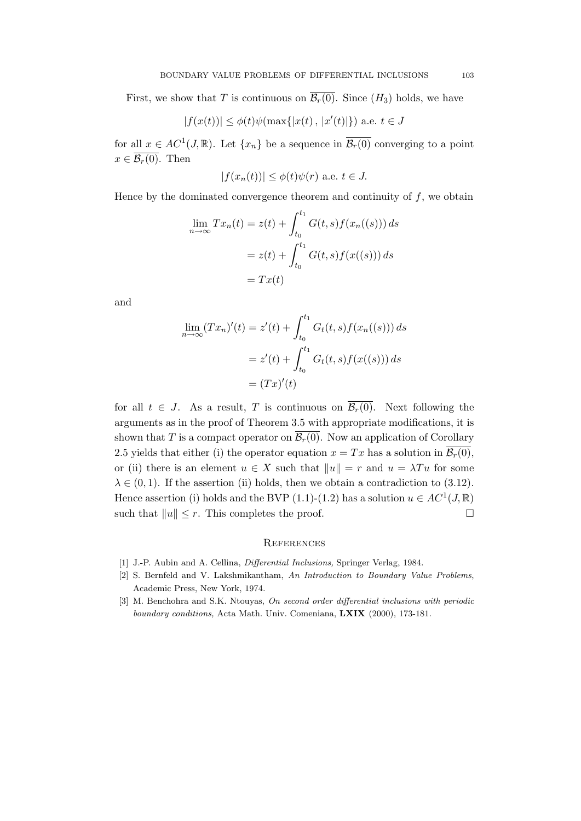First, we show that T is continuous on  $\overline{\mathcal{B}_r(0)}$ . Since  $(H_3)$  holds, we have

$$
|f(x(t))| \le \phi(t)\psi(\max\{|x(t), |x'(t)|\}) \text{ a.e. } t \in J
$$

for all  $x \in AC^1(J, \mathbb{R})$ . Let  $\{x_n\}$  be a sequence in  $\overline{\mathcal{B}_r(0)}$  converging to a point  $x \in \overline{\mathcal{B}_r(0)}$ . Then

$$
|f(x_n(t))| \le \phi(t)\psi(r)
$$
 a.e.  $t \in J$ .

Hence by the dominated convergence theorem and continuity of  $f$ , we obtain

$$
\lim_{n \to \infty} Tx_n(t) = z(t) + \int_{t_0}^{t_1} G(t, s) f(x_n((s))) ds
$$

$$
= z(t) + \int_{t_0}^{t_1} G(t, s) f(x((s))) ds
$$

$$
= Tx(t)
$$

and

$$
\lim_{n \to \infty} (Tx_n)'(t) = z'(t) + \int_{t_0}^{t_1} G_t(t, s) f(x_n((s))) ds
$$
  
=  $z'(t) + \int_{t_0}^{t_1} G_t(t, s) f(x((s))) ds$   
=  $(Tx)'(t)$ 

for all  $t \in J$ . As a result, T is continuous on  $\overline{\mathcal{B}_r(0)}$ . Next following the arguments as in the proof of Theorem 3.5 with appropriate modifications, it is shown that T is a compact operator on  $\overline{\mathcal{B}_r(0)}$ . Now an application of Corollary 2.5 yields that either (i) the operator equation  $x = Tx$  has a solution in  $\overline{\mathcal{B}_r(0)}$ , or (ii) there is an element  $u \in X$  such that  $||u|| = r$  and  $u = \lambda Tu$  for some  $\lambda \in (0, 1)$ . If the assertion (ii) holds, then we obtain a contradiction to (3.12). Hence assertion (i) holds and the BVP (1.1)-(1.2) has a solution  $u \in AC^1(J, \mathbb{R})$ such that  $||u|| \leq r$ . This completes the proof.

#### **REFERENCES**

- [1] J.-P. Aubin and A. Cellina, Differential Inclusions, Springer Verlag, 1984.
- [2] S. Bernfeld and V. Lakshmikantham, An Introduction to Boundary Value Problems, Academic Press, New York, 1974.
- [3] M. Benchohra and S.K. Ntouyas, On second order differential inclusions with periodic boundary conditions, Acta Math. Univ. Comeniana, LXIX (2000), 173-181.